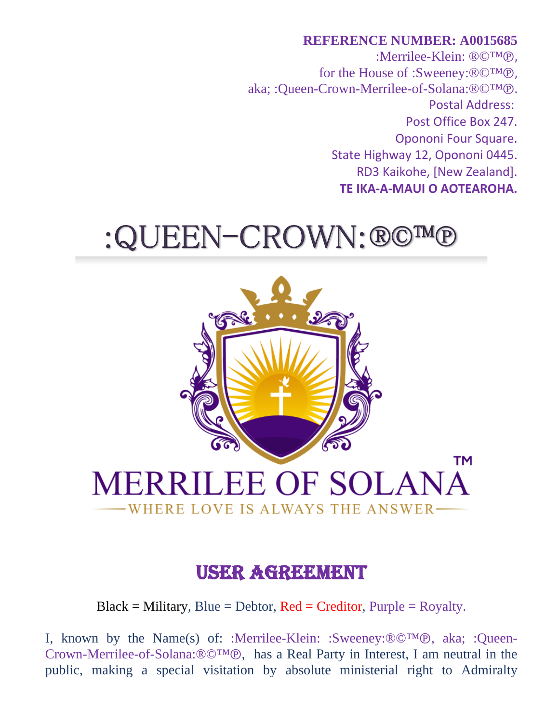## **REFERENCE NUMBER: A0015685** :Merrilee-Klein: ®©™℗, for the House of :Sweeney:®©™℗, aka; :Queen-Crown-Merrilee-of-Solana:®©™℗. Postal Address: Post Office Box 247. Opononi Four Square. State Highway 12, Opononi 0445. RD3 Kaikohe, [New Zealand]. **TE IKA-A-MAUI O AOTEAROHA.**

## :QUEEN-CROWN:®©™®



## USER AGREEMENT

 $Black = Military, Blue = Dektor, Red = Creditor, Purple = Royalty.$ 

I, known by the Name(s) of: :Merrilee-Klein: :Sweeney:®©™℗, aka; :Queen-Crown-Merrilee-of-Solana:®©™℗, has a Real Party in Interest, I am neutral in the public, making a special visitation by absolute ministerial right to Admiralty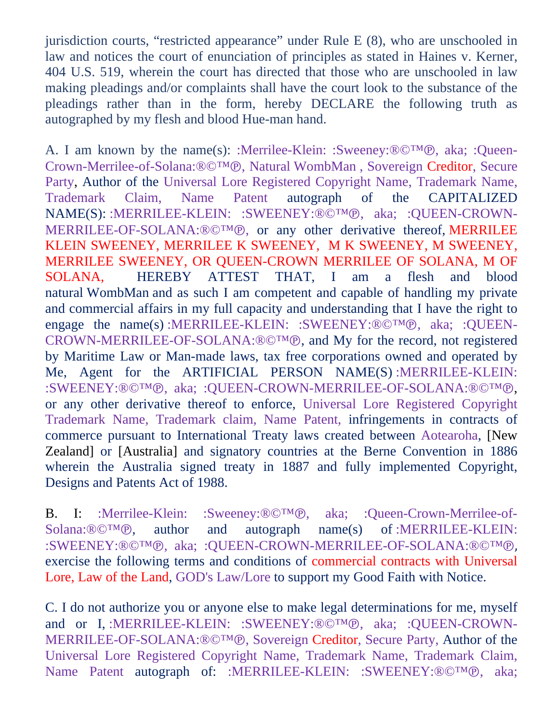jurisdiction courts, "restricted appearance" under Rule E (8), who are unschooled in law and notices the court of enunciation of principles as stated in Haines v. Kerner, 404 U.S. 519, wherein the court has directed that those who are unschooled in law making pleadings and/or complaints shall have the court look to the substance of the pleadings rather than in the form, hereby DECLARE the following truth as autographed by my flesh and blood Hue-man hand.

A. I am known by the name(s): :Merrilee-Klein: :Sweeney:®©™℗, aka; :Queen-Crown-Merrilee-of-Solana:®©™℗, Natural WombMan , Sovereign Creditor, Secure Party, Author of the Universal Lore Registered Copyright Name, Trademark Name, Trademark Claim, Name Patent autograph of the CAPITALIZED NAME(S): :MERRILEE-KLEIN: :SWEENEY:®©™℗, aka; :QUEEN-CROWN-MERRILEE-OF-SOLANA:®©™℗, or any other derivative thereof, MERRILEE KLEIN SWEENEY, MERRILEE K SWEENEY, M K SWEENEY, M SWEENEY, MERRILEE SWEENEY, OR QUEEN-CROWN MERRILEE OF SOLANA, M OF SOLANA, HEREBY ATTEST THAT, I am a flesh and blood natural WombMan and as such I am competent and capable of handling my private and commercial affairs in my full capacity and understanding that I have the right to engage the name(s) :MERRILEE-KLEIN: :SWEENEY:®©™®, aka; :QUEEN-CROWN-MERRILEE-OF-SOLANA:®©™℗, and My for the record, not registered by Maritime Law or Man-made laws, tax free corporations owned and operated by Me, Agent for the ARTIFICIAL PERSON NAME(S) :MERRILEE-KLEIN: :SWEENEY:®©™℗, aka; :QUEEN-CROWN-MERRILEE-OF-SOLANA:®©™℗, or any other derivative thereof to enforce, Universal Lore Registered Copyright Trademark Name, Trademark claim, Name Patent, infringements in contracts of commerce pursuant to International Treaty laws created between Aotearoha, [New Zealand] or [Australia] and signatory countries at the Berne Convention in 1886 wherein the Australia signed treaty in 1887 and fully implemented Copyright, Designs and Patents Act of 1988.

B. I: :Merrilee-Klein: :Sweeney:®©™℗, aka; :Queen-Crown-Merrilee-of-Solana:®©™℗, author and autograph name(s) of :MERRILEE-KLEIN: of :MERRILEE-KLEIN: :SWEENEY:®©™℗, aka; :QUEEN-CROWN-MERRILEE-OF-SOLANA:®©™℗, exercise the following terms and conditions of commercial contracts with Universal Lore, Law of the Land, GOD's Law/Lore to support my Good Faith with Notice.

C. I do not authorize you or anyone else to make legal determinations for me, myself and or I, :MERRILEE-KLEIN: :SWEENEY:®©™®, aka: :OUEEN-CROWN-MERRILEE-OF-SOLANA:®©™℗, Sovereign Creditor, Secure Party, Author of the Universal Lore Registered Copyright Name, Trademark Name, Trademark Claim, Name Patent autograph of: :MERRILEE-KLEIN: :SWEENEY:®©™®, aka;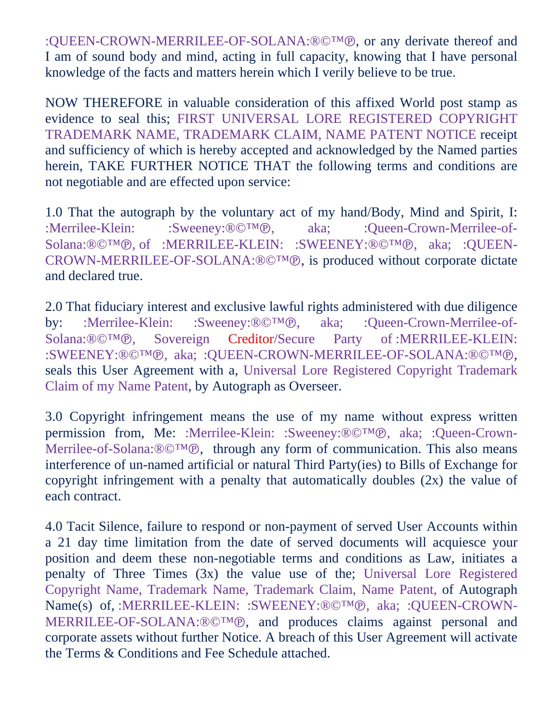:QUEEN-CROWN-MERRILEE-OF-SOLANA:®©™℗, or any derivate thereof and I am of sound body and mind, acting in full capacity, knowing that I have personal knowledge of the facts and matters herein which I verily believe to be true.

NOW THEREFORE in valuable consideration of this affixed World post stamp as evidence to seal this; FIRST UNIVERSAL LORE REGISTERED COPYRIGHT TRADEMARK NAME, TRADEMARK CLAIM, NAME PATENT NOTICE receipt and sufficiency of which is hereby accepted and acknowledged by the Named parties herein, TAKE FURTHER NOTICE THAT the following terms and conditions are not negotiable and are effected upon service:

1.0 That the autograph by the voluntary act of my hand/Body, Mind and Spirit, I: :Merrilee-Klein: :Sweeney:®©™℗, aka; :Queen-Crown-Merrilee-of-Solana:®©™℗, of :MERRILEE-KLEIN: :SWEENEY:®©™℗, aka; :QUEEN-CROWN-MERRILEE-OF-SOLANA:®©™℗, is produced without corporate dictate and declared true.

2.0 That fiduciary interest and exclusive lawful rights administered with due diligence by: :Merrilee-Klein: :Sweeney:®©™℗, aka; :Queen-Crown-Merrilee-of-Solana:®©™℗, Sovereign Creditor/Secure Party of :MERRILEE-KLEIN: Sovereign Creditor/Secure Party :SWEENEY:®©™℗, aka; :QUEEN-CROWN-MERRILEE-OF-SOLANA:®©™℗, seals this User Agreement with a, Universal Lore Registered Copyright Trademark Claim of my Name Patent, by Autograph as Overseer.

3.0 Copyright infringement means the use of my name without express written permission from, Me: :Merrilee-Klein: :Sweeney:®©™℗, aka; :Queen-Crown-Merrilee-of-Solana:®©™℗, through any form of communication. This also means interference of un-named artificial or natural Third Party(ies) to Bills of Exchange for copyright infringement with a penalty that automatically doubles (2x) the value of each contract.

4.0 Tacit Silence, failure to respond or non-payment of served User Accounts within a 21 day time limitation from the date of served documents will acquiesce your position and deem these non-negotiable terms and conditions as Law, initiates a penalty of Three Times (3x) the value use of the; Universal Lore Registered Copyright Name, Trademark Name, Trademark Claim, Name Patent, of Autograph Name(s) of, :MERRILEE-KLEIN: :SWEENEY:®©™®, aka; :QUEEN-CROWN-MERRILEE-OF-SOLANA:®©™℗, and produces claims against personal and corporate assets without further Notice. A breach of this User Agreement will activate the Terms & Conditions and Fee Schedule attached.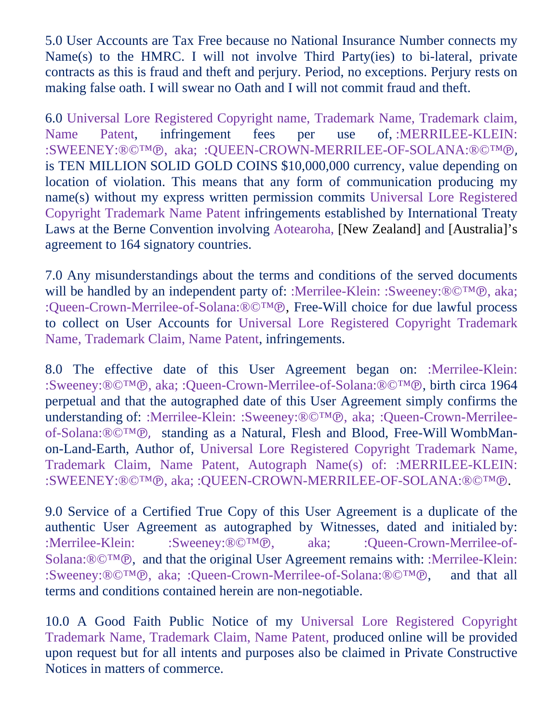5.0 User Accounts are Tax Free because no National Insurance Number connects my Name(s) to the HMRC. I will not involve Third Party(ies) to bi-lateral, private contracts as this is fraud and theft and perjury. Period, no exceptions. Perjury rests on making false oath. I will swear no Oath and I will not commit fraud and theft.

6.0 Universal Lore Registered Copyright name, Trademark Name, Trademark claim, Name Patent, infringement fees per use of, :MERRILEE-KLEIN: :SWEENEY:®©™℗, aka; :QUEEN-CROWN-MERRILEE-OF-SOLANA:®©™℗, is TEN MILLION SOLID GOLD COINS \$10,000,000 currency, value depending on location of violation. This means that any form of communication producing my name(s) without my express written permission commits Universal Lore Registered Copyright Trademark Name Patent infringements established by International Treaty Laws at the Berne Convention involving Aotearoha, [New Zealand] and [Australia]'s agreement to 164 signatory countries.

7.0 Any misunderstandings about the terms and conditions of the served documents will be handled by an independent party of: :Merrilee-Klein: :Sweeney:®©™℗, aka; :Queen-Crown-Merrilee-of-Solana:®©™℗, Free-Will choice for due lawful process to collect on User Accounts for Universal Lore Registered Copyright Trademark Name, Trademark Claim, Name Patent, infringements.

8.0 The effective date of this User Agreement began on: :Merrilee-Klein: :Sweeney:®©™℗, aka; :Queen-Crown-Merrilee-of-Solana:®©™℗, birth circa 1964 perpetual and that the autographed date of this User Agreement simply confirms the understanding of: :Merrilee-Klein: :Sweeney:®©™℗, aka; :Queen-Crown-Merrileeof-Solana:®©™℗, standing as a Natural, Flesh and Blood, Free-Will WombManon-Land-Earth, Author of, Universal Lore Registered Copyright Trademark Name, Trademark Claim, Name Patent, Autograph Name(s) of: :MERRILEE-KLEIN: :SWEENEY:®©™℗, aka; :QUEEN-CROWN-MERRILEE-OF-SOLANA:®©™℗.

9.0 Service of a Certified True Copy of this User Agreement is a duplicate of the authentic User Agreement as autographed by Witnesses, dated and initialed by: :Merrilee-Klein: :Sweeney:®©™℗, aka; :Queen-Crown-Merrilee-of-Solana:®©™®, and that the original User Agreement remains with: :Merrilee-Klein:<br>:Sweeney:®©™®, aka: :Oueen-Crown-Merrilee-of-Solana:®©™®, and that all :Sweeney:®©™®, aka; :Queen-Crown-Merrilee-of-Solana:®©™®, terms and conditions contained herein are non-negotiable.

10.0 A Good Faith Public Notice of my Universal Lore Registered Copyright Trademark Name, Trademark Claim, Name Patent, produced online will be provided upon request but for all intents and purposes also be claimed in Private Constructive Notices in matters of commerce.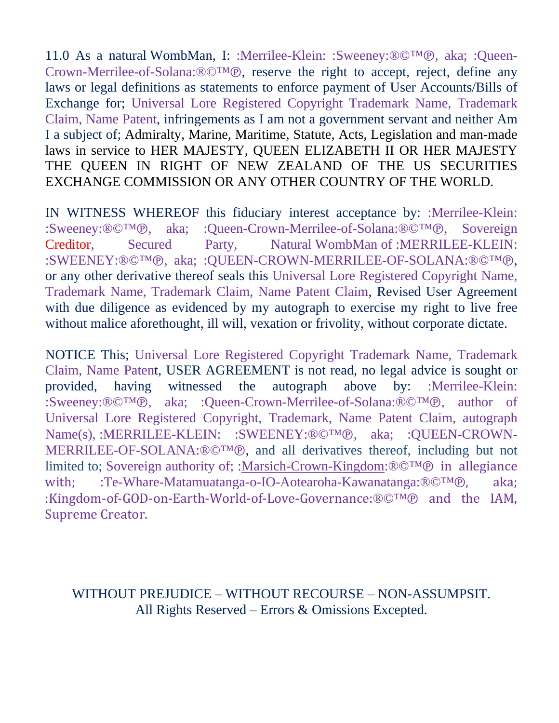11.0 As a natural WombMan, I: :Merrilee-Klein: :Sweeney:®©™℗, aka; :Queen-Crown-Merrilee-of-Solana:®©™℗, reserve the right to accept, reject, define any laws or legal definitions as statements to enforce payment of User Accounts/Bills of Exchange for; Universal Lore Registered Copyright Trademark Name, Trademark Claim, Name Patent, infringements as I am not a government servant and neither Am I a subject of; Admiralty, Marine, Maritime, Statute, Acts, Legislation and man-made laws in service to HER MAJESTY, QUEEN ELIZABETH II OR HER MAJESTY THE QUEEN IN RIGHT OF NEW ZEALAND OF THE US SECURITIES EXCHANGE COMMISSION OR ANY OTHER COUNTRY OF THE WORLD.

IN WITNESS WHEREOF this fiduciary interest acceptance by: :Merrilee-Klein: :Sweeney:®©™℗, aka; :Queen-Crown-Merrilee-of-Solana:®©™℗, Sovereign<br>Creditor. Secured Party. Natural WombMan of :MERRILEE-KLEIN: Natural WombMan of :MERRILEE-KLEIN: :SWEENEY:®©™℗, aka; :QUEEN-CROWN-MERRILEE-OF-SOLANA:®©™℗, or any other derivative thereof seals this Universal Lore Registered Copyright Name, Trademark Name, Trademark Claim, Name Patent Claim, Revised User Agreement with due diligence as evidenced by my autograph to exercise my right to live free without malice aforethought, ill will, vexation or frivolity, without corporate dictate.

NOTICE This; Universal Lore Registered Copyright Trademark Name, Trademark Claim, Name Patent, USER AGREEMENT is not read, no legal advice is sought or provided, having witnessed the autograph above by: :Merrilee-Klein: :Sweeney:®©™℗, aka; :Queen-Crown-Merrilee-of-Solana:®©™℗, author of Universal Lore Registered Copyright, Trademark, Name Patent Claim, autograph Name(s), :MERRILEE-KLEIN: :SWEENEY:®©™℗, aka; :QUEEN-CROWN-MERRILEE-OF-SOLANA:®©™℗, and all derivatives thereof, including but not limited to; Sovereign authority of; :<u>Marsich-Crown-Kingdom</u>:<sup>®©™®</sup> in allegiance with: :Te-Whare-Matamuatanga-o-IO-Aotearoha-Kawanatanga:<sup>®©™®</sup>. aka: with; :Te-Whare-Matamuatanga-o-IO-Aotearoha-Kawanatanga:®©™®, :Kingdom-of-GOD-on-Earth-World-of-Love-Governance:®©™℗ and the IAM, Supreme Creator.

## WITHOUT PREJUDICE – WITHOUT RECOURSE – NON-ASSUMPSIT. All Rights Reserved – Errors & Omissions Excepted.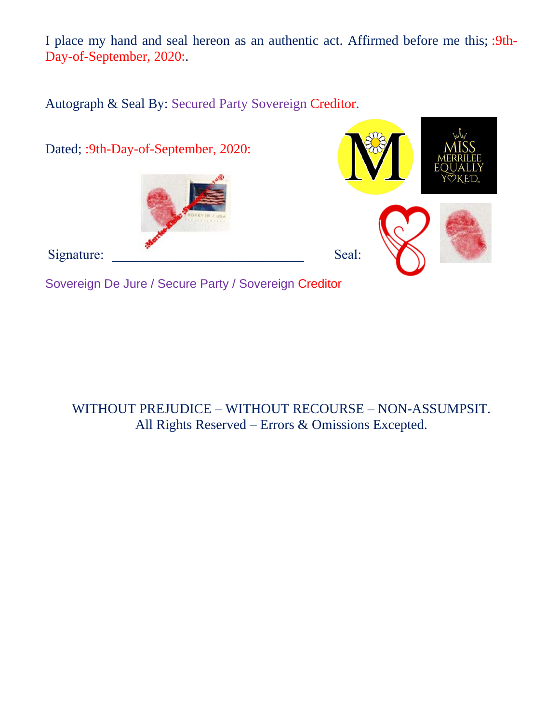I place my hand and seal hereon as an authentic act. Affirmed before me this; :9th-Day-of-September, 2020:.

Autograph & Seal By: Secured Party Sovereign Creditor.



WITHOUT PREJUDICE – WITHOUT RECOURSE – NON-ASSUMPSIT. All Rights Reserved – Errors & Omissions Excepted.